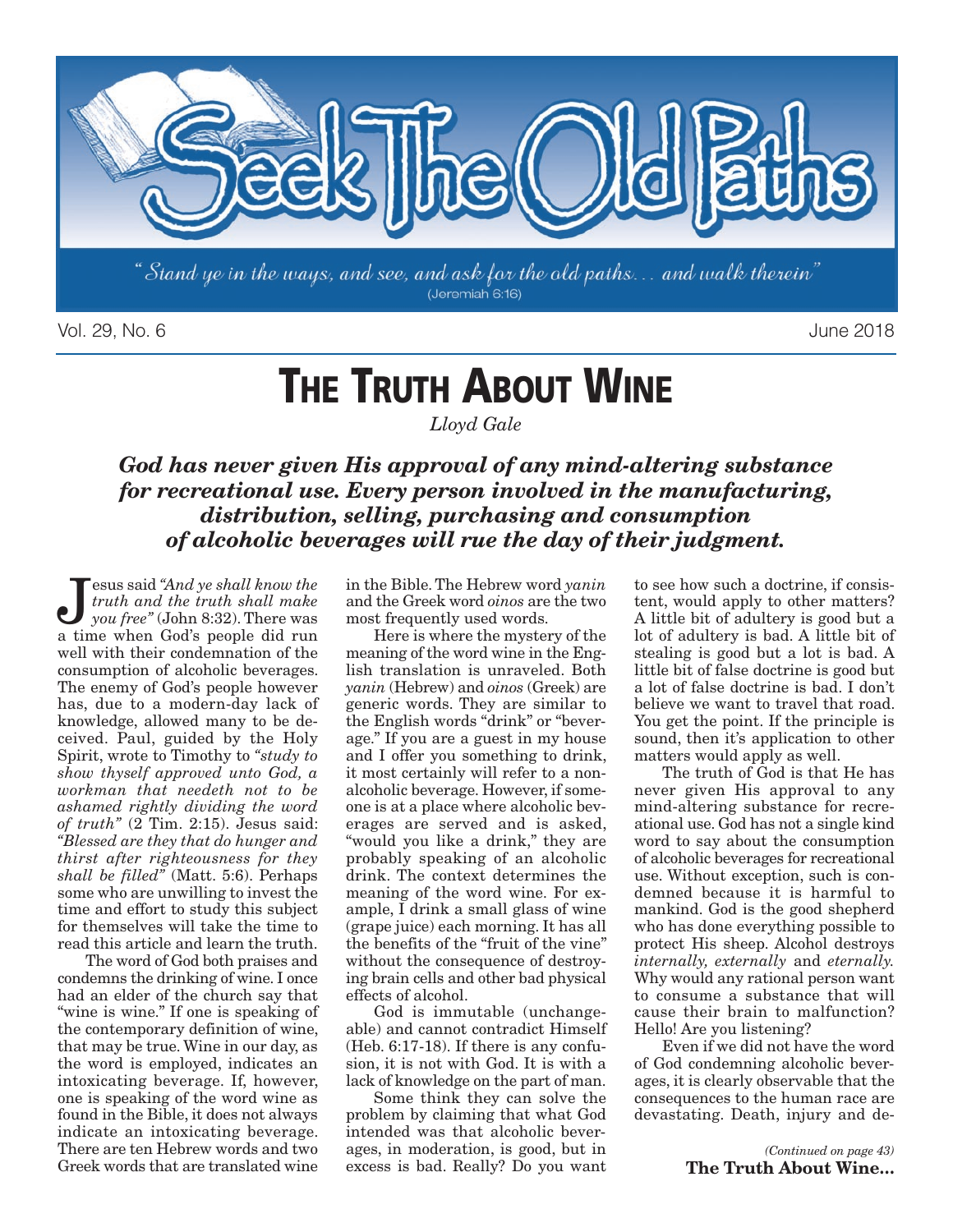

Vol. 29, No. 6 June 2018

# **THE TRUTH ABOUT WINE**

*Lloyd Gale*

*God has never given His approval of any mind-altering substance for recreational use. Every person involved in the manufacturing, distribution, selling, purchasing and consumption of alcoholic beverages will rue the day of their judgment.*

**J**esus said "And ye shall know the<br>truth and the truth shall make<br>you free" (John 8:32). There was *truth and the truth shall make you free"* (John 8:32). There was a time when God's people did run well with their condemnation of the consumption of alcoholic beverages. The enemy of God's people however has, due to a modern-day lack of knowledge, allowed many to be deceived. Paul, guided by the Holy Spirit, wrote to Timothy to *"study to show thyself approved unto God, a workman that needeth not to be ashamed rightly dividing the word of truth"* (2 Tim. 2:15). Jesus said: *"Blessed are they that do hunger and thirst after righteousness for they shall be filled"* (Matt. 5:6). Perhaps some who are unwilling to invest the time and effort to study this subject for themselves will take the time to read this article and learn the truth.

The word of God both praises and condemns the drinking of wine. I once had an elder of the church say that "wine is wine." If one is speaking of the contemporary definition of wine, that may be true. Wine in our day, as the word is employed, indicates an intoxicating beverage. If, however, one is speaking of the word wine as found in the Bible, it does not always indicate an intoxicating beverage. There are ten Hebrew words and two Greek words that are translated wine

in the Bible. The Hebrew word *yanin* and the Greek word *oinos* are the two most frequently used words.

Here is where the mystery of the meaning of the word wine in the English translation is unraveled. Both *yanin* (Hebrew) and *oinos* (Greek) are generic words. They are similar to the English words "drink" or "beverage." If you are a guest in my house and I offer you something to drink, it most certainly will refer to a nonalcoholic beverage. However, if someone is at a place where alcoholic beverages are served and is asked, "would you like a drink," they are probably speaking of an alcoholic drink. The context determines the meaning of the word wine. For example, I drink a small glass of wine (grape juice) each morning. It has all the benefits of the "fruit of the vine" without the consequence of destroying brain cells and other bad physical effects of alcohol.

God is immutable (unchangeable) and cannot contradict Himself (Heb. 6:17-18). If there is any confusion, it is not with God. It is with a lack of knowledge on the part of man.

Some think they can solve the problem by claiming that what God intended was that alcoholic beverages, in moderation, is good, but in excess is bad. Really? Do you want

to see how such a doctrine, if consistent, would apply to other matters? A little bit of adultery is good but a lot of adultery is bad. A little bit of stealing is good but a lot is bad. A little bit of false doctrine is good but a lot of false doctrine is bad. I don't believe we want to travel that road. You get the point. If the principle is sound, then it's application to other matters would apply as well.

The truth of God is that He has never given His approval to any mind-altering substance for recreational use. God has not a single kind word to say about the consumption of alcoholic beverages for recreational use. Without exception, such is condemned because it is harmful to mankind. God is the good shepherd who has done everything possible to protect His sheep. Alcohol destroys *internally, externally* and *eternally.* Why would any rational person want to consume a substance that will cause their brain to malfunction? Hello! Are you listening?

Even if we did not have the word of God condemning alcoholic beverages, it is clearly observable that the consequences to the human race are devastating. Death, injury and de-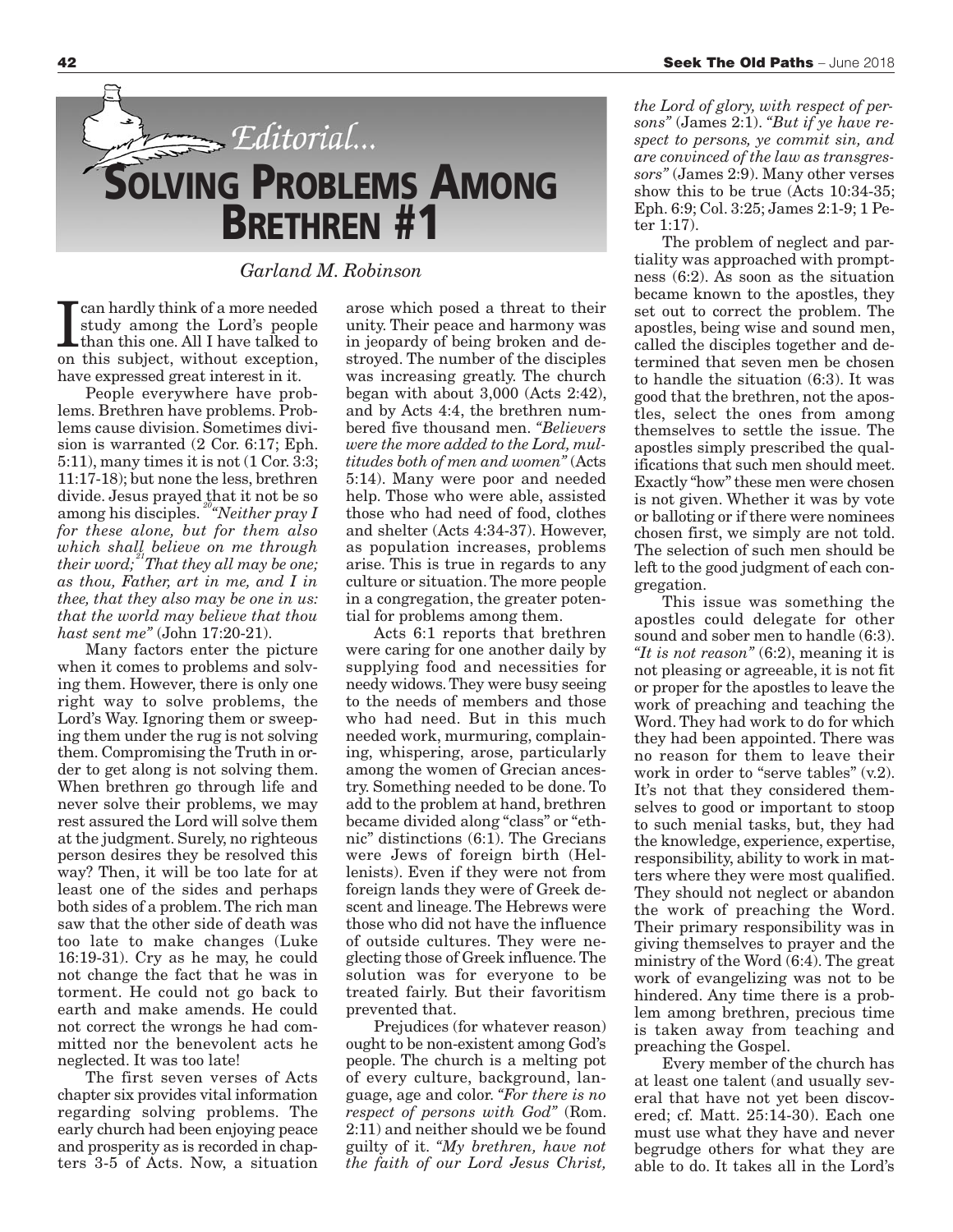

*Garland M. Robinson*

**T** can hardly think of a more needed<br>study among the Lord's people<br>than this one. All I have talked to<br>on this subject, without exception, can hardly think of a more needed study among the Lord's people than this one. All I have talked to have expressed great interest in it.

People everywhere have problems. Brethren have problems. Problems cause division. Sometimes division is warranted (2 Cor. 6:17; Eph. 5:11), many times it is not (1 Cor. 3:3; 11:17-18); but none the less, brethren divide. Jesus prayed that it not be so among his disciples. *20"Neither pray I for these alone, but for them also which shall believe on me through their word; 21That they all may be one; as thou, Father, art in me, and I in thee, that they also may be one in us: that the world may believe that thou hast sent me"* (John 17:20-21).

Many factors enter the picture when it comes to problems and solving them. However, there is only one right way to solve problems, the Lord's Way. Ignoring them or sweeping them under the rug is not solving them. Compromising the Truth in order to get along is not solving them. When brethren go through life and never solve their problems, we may rest assured the Lord will solve them at the judgment. Surely, no righteous person desires they be resolved this way? Then, it will be too late for at least one of the sides and perhaps both sides of a problem. The rich man saw that the other side of death was too late to make changes (Luke 16:19-31). Cry as he may, he could not change the fact that he was in torment. He could not go back to earth and make amends. He could not correct the wrongs he had committed nor the benevolent acts he neglected. It was too late!

The first seven verses of Acts chapter six provides vital information regarding solving problems. The early church had been enjoying peace and prosperity as is recorded in chapters 3-5 of Acts. Now, a situation arose which posed a threat to their unity. Their peace and harmony was in jeopardy of being broken and destroyed. The number of the disciples was increasing greatly. The church began with about 3,000 (Acts 2:42), and by Acts 4:4, the brethren numbered five thousand men. *"Believers were the more added to the Lord, multitudes both of men and women"* (Acts 5:14). Many were poor and needed help. Those who were able, assisted those who had need of food, clothes and shelter (Acts 4:34-37). However, as population increases, problems arise. This is true in regards to any culture or situation. The more people in a congregation, the greater potential for problems among them.

Acts 6:1 reports that brethren were caring for one another daily by supplying food and necessities for needy widows. They were busy seeing to the needs of members and those who had need. But in this much needed work, murmuring, complaining, whispering, arose, particularly among the women of Grecian ancestry. Something needed to be done. To add to the problem at hand, brethren became divided along "class" or "ethnic" distinctions (6:1). The Grecians were Jews of foreign birth (Hellenists). Even if they were not from foreign lands they were of Greek descent and lineage. The Hebrews were those who did not have the influence of outside cultures. They were neglecting those of Greek influence. The solution was for everyone to be treated fairly. But their favoritism prevented that.

Prejudices (for whatever reason) ought to be non-existent among God's people. The church is a melting pot of every culture, background, language, age and color. *"For there is no respect of persons with God"* (Rom. 2:11) and neither should we be found guilty of it. *"My brethren, have not the faith of our Lord Jesus Christ,*

*the Lord of glory, with respect of persons"* (James 2:1). *"But if ye have respect to persons, ye commit sin, and are convinced of the law as transgressors"* (James 2:9). Many other verses show this to be true (Acts 10:34-35; Eph. 6:9; Col. 3:25; James 2:1-9; 1 Peter 1:17).

The problem of neglect and partiality was approached with promptness (6:2). As soon as the situation became known to the apostles, they set out to correct the problem. The apostles, being wise and sound men, called the disciples together and determined that seven men be chosen to handle the situation (6:3). It was good that the brethren, not the apostles, select the ones from among themselves to settle the issue. The apostles simply prescribed the qualifications that such men should meet. Exactly "how" these men were chosen is not given. Whether it was by vote or balloting or if there were nominees chosen first, we simply are not told. The selection of such men should be left to the good judgment of each congregation.

This issue was something the apostles could delegate for other sound and sober men to handle (6:3). *"It is not reason"* (6:2), meaning it is not pleasing or agreeable, it is not fit or proper for the apostles to leave the work of preaching and teaching the Word. They had work to do for which they had been appointed. There was no reason for them to leave their work in order to "serve tables" (v.2). It's not that they considered themselves to good or important to stoop to such menial tasks, but, they had the knowledge, experience, expertise, responsibility, ability to work in matters where they were most qualified. They should not neglect or abandon the work of preaching the Word. Their primary responsibility was in giving themselves to prayer and the ministry of the Word (6:4). The great work of evangelizing was not to be hindered. Any time there is a problem among brethren, precious time is taken away from teaching and preaching the Gospel.

Every member of the church has at least one talent (and usually several that have not yet been discovered; cf. Matt. 25:14-30). Each one must use what they have and never begrudge others for what they are able to do. It takes all in the Lord's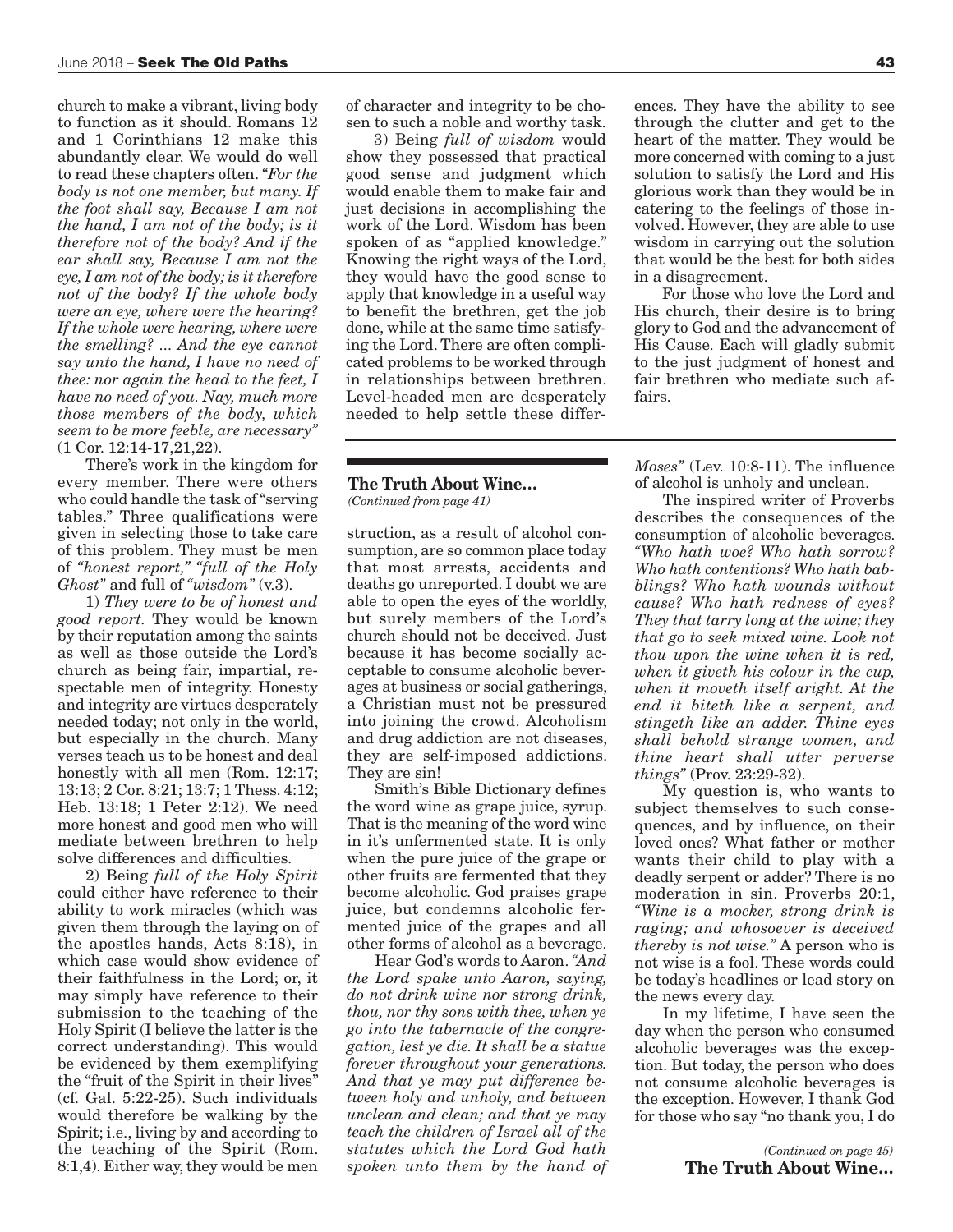church to make a vibrant, living body to function as it should. Romans 12 and 1 Corinthians 12 make this abundantly clear. We would do well to read these chapters often. *"For the body is not one member, but many. If the foot shall say, Because I am not the hand, I am not of the body; is it therefore not of the body? And if the ear shall say, Because I am not the eye, I am not of the body; is it therefore not of the body? If the whole body were an eye, where were the hearing? If the whole were hearing, where were the smelling? ... And the eye cannot say unto the hand, I have no need of thee: nor again the head to the feet, I have no need of you. Nay, much more those members of the body, which seem to be more feeble, are necessary"* (1 Cor. 12:14-17,21,22).

There's work in the kingdom for every member. There were others who could handle the task of "serving tables." Three qualifications were given in selecting those to take care of this problem. They must be men of *"honest report," "full of the Holy Ghost"* and full of *"wisdom"* (v.3).

1) *They were to be of honest and good report.* They would be known by their reputation among the saints as well as those outside the Lord's church as being fair, impartial, respectable men of integrity. Honesty and integrity are virtues desperately needed today; not only in the world, but especially in the church. Many verses teach us to be honest and deal honestly with all men (Rom. 12:17; 13:13; 2 Cor. 8:21; 13:7; 1 Thess. 4:12; Heb. 13:18; 1 Peter 2:12). We need more honest and good men who will mediate between brethren to help solve differences and difficulties.

2) Being *full of the Holy Spirit* could either have reference to their ability to work miracles (which was given them through the laying on of the apostles hands, Acts 8:18), in which case would show evidence of their faithfulness in the Lord; or, it may simply have reference to their submission to the teaching of the Holy Spirit (I believe the latter is the correct understanding). This would be evidenced by them exemplifying the "fruit of the Spirit in their lives" (cf. Gal. 5:22-25). Such individuals would therefore be walking by the Spirit; i.e., living by and according to the teaching of the Spirit (Rom. 8:1,4). Either way, they would be men

of character and integrity to be chosen to such a noble and worthy task.

3) Being *full of wisdom* would show they possessed that practical good sense and judgment which would enable them to make fair and just decisions in accomplishing the work of the Lord. Wisdom has been spoken of as "applied knowledge." Knowing the right ways of the Lord, they would have the good sense to apply that knowledge in a useful way to benefit the brethren, get the job done, while at the same time satisfying the Lord. There are often complicated problems to be worked through in relationships between brethren. Level-headed men are desperately needed to help settle these differ-

### **The Truth About Wine…** *(Continued from page 41)*

struction, as a result of alcohol consumption, are so common place today that most arrests, accidents and deaths go unreported. I doubt we are able to open the eyes of the worldly, but surely members of the Lord's church should not be deceived. Just because it has become socially acceptable to consume alcoholic beverages at business or social gatherings, a Christian must not be pressured into joining the crowd. Alcoholism and drug addiction are not diseases, they are self-imposed addictions. They are sin!

Smith's Bible Dictionary defines the word wine as grape juice, syrup. That is the meaning of the word wine in it's unfermented state. It is only when the pure juice of the grape or other fruits are fermented that they become alcoholic. God praises grape juice, but condemns alcoholic fermented juice of the grapes and all other forms of alcohol as a beverage.

Hear God's words to Aaron. *"And the Lord spake unto Aaron, saying, do not drink wine nor strong drink, thou, nor thy sons with thee, when ye go into the tabernacle of the congregation, lest ye die. It shall be a statue forever throughout your generations. And that ye may put difference between holy and unholy, and between unclean and clean; and that ye may teach the children of Israel all of the statutes which the Lord God hath spoken unto them by the hand of*

ences. They have the ability to see through the clutter and get to the heart of the matter. They would be more concerned with coming to a just solution to satisfy the Lord and His glorious work than they would be in catering to the feelings of those involved. However, they are able to use wisdom in carrying out the solution that would be the best for both sides in a disagreement.

For those who love the Lord and His church, their desire is to bring glory to God and the advancement of His Cause. Each will gladly submit to the just judgment of honest and fair brethren who mediate such affairs.

*Moses"* (Lev. 10:8-11). The influence of alcohol is unholy and unclean.

The inspired writer of Proverbs describes the consequences of the consumption of alcoholic beverages. *"Who hath woe? Who hath sorrow? Who hath contentions? Who hath babblings? Who hath wounds without cause? Who hath redness of eyes? They that tarry long at the wine; they that go to seek mixed wine. Look not thou upon the wine when it is red, when it giveth his colour in the cup, when it moveth itself aright. At the end it biteth like a serpent, and stingeth like an adder. Thine eyes shall behold strange women, and thine heart shall utter perverse things"* (Prov. 23:29-32).

My question is, who wants to subject themselves to such consequences, and by influence, on their loved ones? What father or mother wants their child to play with a deadly serpent or adder? There is no moderation in sin. Proverbs 20:1, *"Wine is a mocker, strong drink is raging; and whosoever is deceived thereby is not wise."* A person who is not wise is a fool. These words could be today's headlines or lead story on the news every day.

In my lifetime, I have seen the day when the person who consumed alcoholic beverages was the exception. But today, the person who does not consume alcoholic beverages is the exception. However, I thank God for those who say "no thank you, I do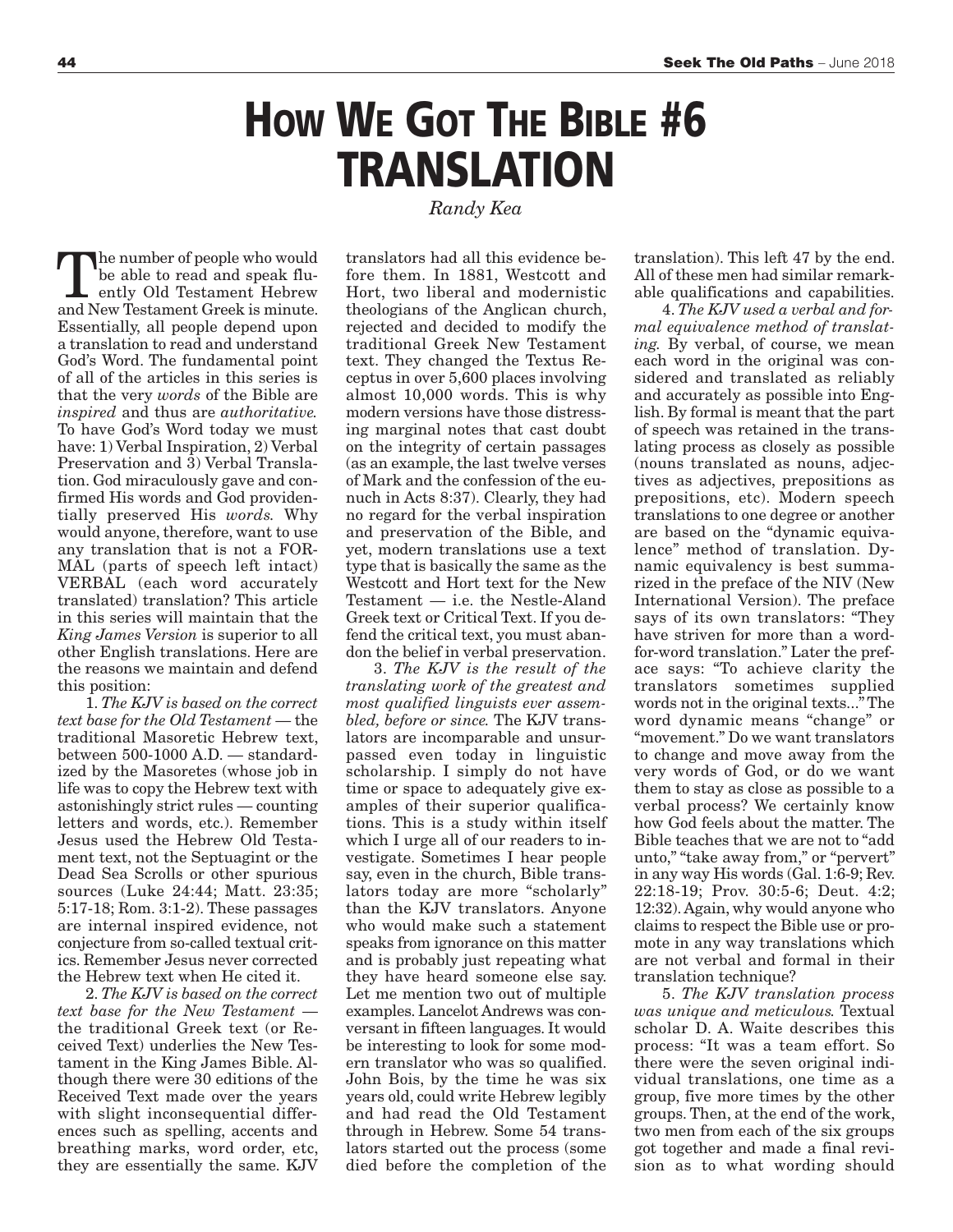## **HOW WE GOT THE BIBLE #6 TRANSLATION**

*Randy Kea*

The number of people who would<br>
be able to read and speak flu-<br>
ently Old Testament Hebrew<br>
and Now Testament Grook is minute be able to read and speak fluand New Testament Greek is minute. Essentially, all people depend upon a translation to read and understand God's Word. The fundamental point of all of the articles in this series is that the very *words* of the Bible are *inspired* and thus are *authoritative.* To have God's Word today we must have: 1) Verbal Inspiration, 2) Verbal Preservation and 3) Verbal Translation. God miraculously gave and confirmed His words and God providentially preserved His *words.* Why would anyone, therefore, want to use any translation that is not a FOR-MAL (parts of speech left intact) VERBAL (each word accurately translated) translation? This article in this series will maintain that the *King James Version* is superior to all other English translations. Here are the reasons we maintain and defend this position:

1. *The KJV is based on the correct text base for the Old Testament* — the traditional Masoretic Hebrew text, between 500-1000 A.D. — standardized by the Masoretes (whose job in life was to copy the Hebrew text with astonishingly strict rules — counting letters and words, etc.). Remember Jesus used the Hebrew Old Testament text, not the Septuagint or the Dead Sea Scrolls or other spurious sources (Luke 24:44; Matt. 23:35; 5:17-18; Rom. 3:1-2). These passages are internal inspired evidence, not conjecture from so-called textual critics. Remember Jesus never corrected the Hebrew text when He cited it.

2. *The KJV is based on the correct text base for the New Testament* the traditional Greek text (or Received Text) underlies the New Testament in the King James Bible. Although there were 30 editions of the Received Text made over the years with slight inconsequential differences such as spelling, accents and breathing marks, word order, etc, they are essentially the same. KJV

translators had all this evidence before them. In 1881, Westcott and Hort, two liberal and modernistic theologians of the Anglican church, rejected and decided to modify the traditional Greek New Testament text. They changed the Textus Receptus in over 5,600 places involving almost 10,000 words. This is why modern versions have those distressing marginal notes that cast doubt on the integrity of certain passages (as an example, the last twelve verses of Mark and the confession of the eunuch in Acts 8:37). Clearly, they had no regard for the verbal inspiration and preservation of the Bible, and yet, modern translations use a text type that is basically the same as the Westcott and Hort text for the New Testament — i.e. the Nestle-Aland Greek text or Critical Text. If you defend the critical text, you must abandon the belief in verbal preservation.

3. *The KJV is the result of the translating work of the greatest and most qualified linguists ever assembled, before or since.* The KJV translators are incomparable and unsurpassed even today in linguistic scholarship. I simply do not have time or space to adequately give examples of their superior qualifications. This is a study within itself which I urge all of our readers to investigate. Sometimes I hear people say, even in the church, Bible translators today are more "scholarly" than the KJV translators. Anyone who would make such a statement speaks from ignorance on this matter and is probably just repeating what they have heard someone else say. Let me mention two out of multiple examples. Lancelot Andrews was conversant in fifteen languages. It would be interesting to look for some modern translator who was so qualified. John Bois, by the time he was six years old, could write Hebrew legibly and had read the Old Testament through in Hebrew. Some 54 translators started out the process (some died before the completion of the

translation). This left 47 by the end. All of these men had similar remarkable qualifications and capabilities.

4. *The KJV used a verbal and formal equivalence method of translating.* By verbal, of course, we mean each word in the original was considered and translated as reliably and accurately as possible into English. By formal is meant that the part of speech was retained in the translating process as closely as possible (nouns translated as nouns, adjectives as adjectives, prepositions as prepositions, etc). Modern speech translations to one degree or another are based on the "dynamic equivalence" method of translation. Dynamic equivalency is best summarized in the preface of the NIV (New International Version). The preface says of its own translators: "They have striven for more than a wordfor-word translation." Later the preface says: "To achieve clarity the translators sometimes supplied words not in the original texts..." The word dynamic means "change" or "movement." Do we want translators to change and move away from the very words of God, or do we want them to stay as close as possible to a verbal process? We certainly know how God feels about the matter. The Bible teaches that we are not to "add unto," "take away from," or "pervert" in any way His words (Gal. 1:6-9; Rev. 22:18-19; Prov. 30:5-6; Deut. 4:2; 12:32). Again, why would anyone who claims to respect the Bible use or promote in any way translations which are not verbal and formal in their translation technique?

5. *The KJV translation process was unique and meticulous.* Textual scholar D. A. Waite describes this process: "It was a team effort. So there were the seven original individual translations, one time as a group, five more times by the other groups. Then, at the end of the work, two men from each of the six groups got together and made a final revision as to what wording should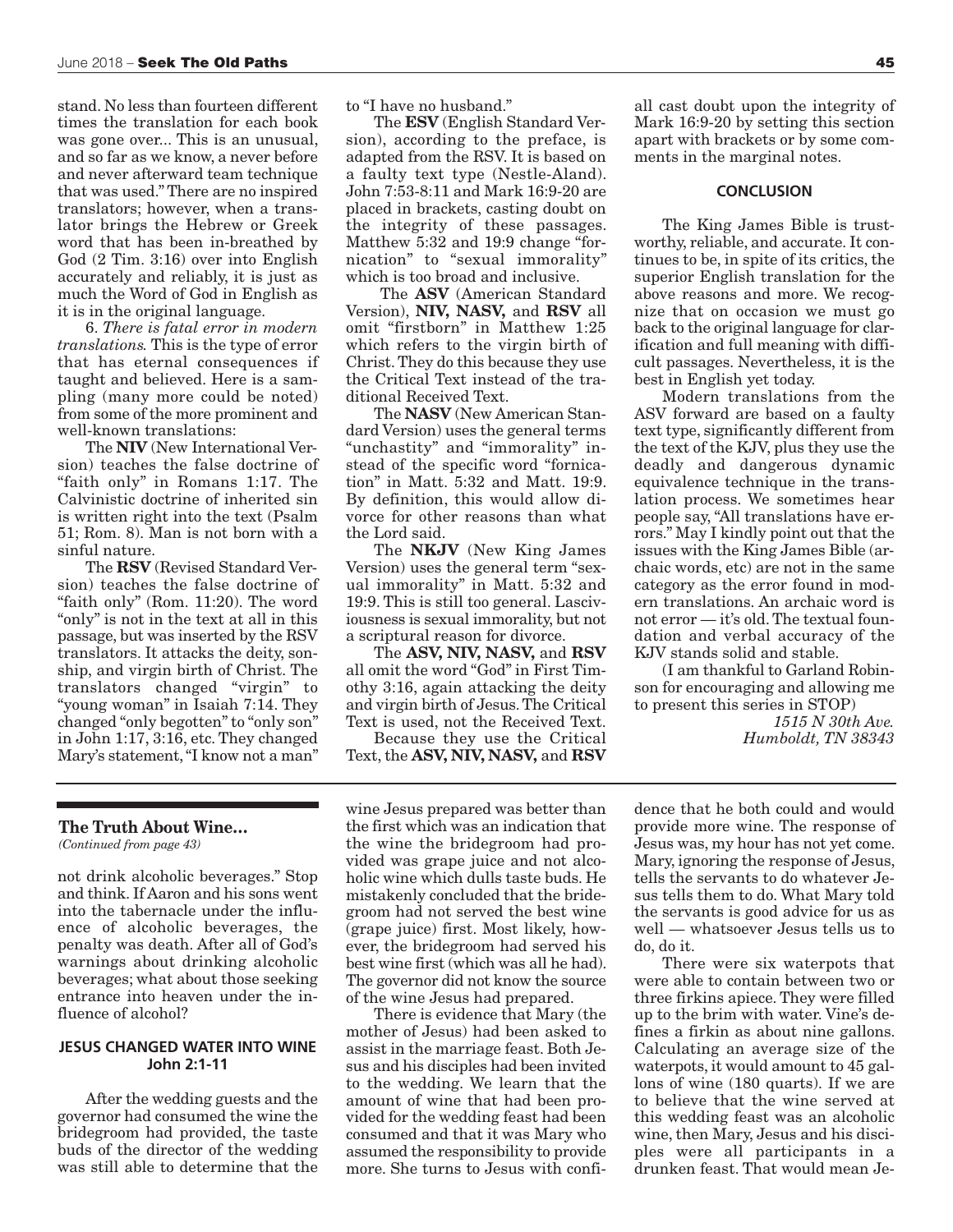stand. No less than fourteen different times the translation for each book was gone over... This is an unusual, and so far as we know, a never before and never afterward team technique that was used." There are no inspired translators; however, when a translator brings the Hebrew or Greek word that has been in-breathed by God (2 Tim. 3:16) over into English accurately and reliably, it is just as much the Word of God in English as it is in the original language.

6. *There is fatal error in modern translations.* This is the type of error that has eternal consequences if taught and believed. Here is a sampling (many more could be noted) from some of the more prominent and well-known translations:

The **NIV** (New International Version) teaches the false doctrine of "faith only" in Romans 1:17. The Calvinistic doctrine of inherited sin is written right into the text (Psalm 51; Rom. 8). Man is not born with a sinful nature.

The **RSV** (Revised Standard Version) teaches the false doctrine of "faith only" (Rom. 11:20). The word "only" is not in the text at all in this passage, but was inserted by the RSV translators. It attacks the deity, sonship, and virgin birth of Christ. The translators changed "virgin" to "young woman" in Isaiah 7:14. They changed "only begotten" to "only son" in John 1:17, 3:16, etc. They changed Mary's statement, "I know not a man"

to "I have no husband."

The **ESV** (English Standard Version), according to the preface, is adapted from the RSV. It is based on a faulty text type (Nestle-Aland). John 7:53-8:11 and Mark 16:9-20 are placed in brackets, casting doubt on the integrity of these passages. Matthew 5:32 and 19:9 change "fornication" to "sexual immorality" which is too broad and inclusive.

The **ASV** (American Standard Version), **NIV, NASV,** and **RSV** all omit "firstborn" in Matthew 1:25 which refers to the virgin birth of Christ. They do this because they use the Critical Text instead of the traditional Received Text.

The **NASV** (New American Standard Version) uses the general terms "unchastity" and "immorality" instead of the specific word "fornication" in Matt. 5:32 and Matt. 19:9. By definition, this would allow divorce for other reasons than what the Lord said.

The **NKJV** (New King James Version) uses the general term "sexual immorality" in Matt. 5:32 and 19:9. This is still too general. Lasciviousness is sexual immorality, but not a scriptural reason for divorce.

The **ASV, NIV, NASV,** and **RSV** all omit the word "God" in First Timothy 3:16, again attacking the deity and virgin birth of Jesus. The Critical Text is used, not the Received Text.

Because they use the Critical Text, the **ASV, NIV, NASV,** and **RSV**

all cast doubt upon the integrity of Mark 16:9-20 by setting this section apart with brackets or by some comments in the marginal notes.

### **CONCLUSION**

The King James Bible is trustworthy, reliable, and accurate. It continues to be, in spite of its critics, the superior English translation for the above reasons and more. We recognize that on occasion we must go back to the original language for clarification and full meaning with difficult passages. Nevertheless, it is the best in English yet today.

Modern translations from the ASV forward are based on a faulty text type, significantly different from the text of the KJV, plus they use the deadly and dangerous dynamic equivalence technique in the translation process. We sometimes hear people say, "All translations have errors." May I kindly point out that the issues with the King James Bible (archaic words, etc) are not in the same category as the error found in modern translations. An archaic word is not error — it's old. The textual foundation and verbal accuracy of the KJV stands solid and stable.

(I am thankful to Garland Robinson for encouraging and allowing me to present this series in STOP)

> *1515 N 30th Ave. Humboldt, TN 38343*

### **The Truth About Wine…**

*(Continued from page 43)*

not drink alcoholic beverages." Stop and think. If Aaron and his sons went into the tabernacle under the influence of alcoholic beverages, the penalty was death. After all of God's warnings about drinking alcoholic beverages; what about those seeking entrance into heaven under the influence of alcohol?

### **JESUS CHANGED WATER INTO WINE John 2:1-11**

After the wedding guests and the governor had consumed the wine the bridegroom had provided, the taste buds of the director of the wedding was still able to determine that the

wine Jesus prepared was better than the first which was an indication that the wine the bridegroom had provided was grape juice and not alcoholic wine which dulls taste buds. He mistakenly concluded that the bridegroom had not served the best wine (grape juice) first. Most likely, however, the bridegroom had served his best wine first (which was all he had). The governor did not know the source of the wine Jesus had prepared.

There is evidence that Mary (the mother of Jesus) had been asked to assist in the marriage feast. Both Jesus and his disciples had been invited to the wedding. We learn that the amount of wine that had been provided for the wedding feast had been consumed and that it was Mary who assumed the responsibility to provide more. She turns to Jesus with confi-

dence that he both could and would provide more wine. The response of Jesus was, my hour has not yet come. Mary, ignoring the response of Jesus, tells the servants to do whatever Jesus tells them to do. What Mary told the servants is good advice for us as well — whatsoever Jesus tells us to do, do it.

There were six waterpots that were able to contain between two or three firkins apiece. They were filled up to the brim with water. Vine's defines a firkin as about nine gallons. Calculating an average size of the waterpots, it would amount to 45 gallons of wine (180 quarts). If we are to believe that the wine served at this wedding feast was an alcoholic wine, then Mary, Jesus and his disciples were all participants in a drunken feast. That would mean Je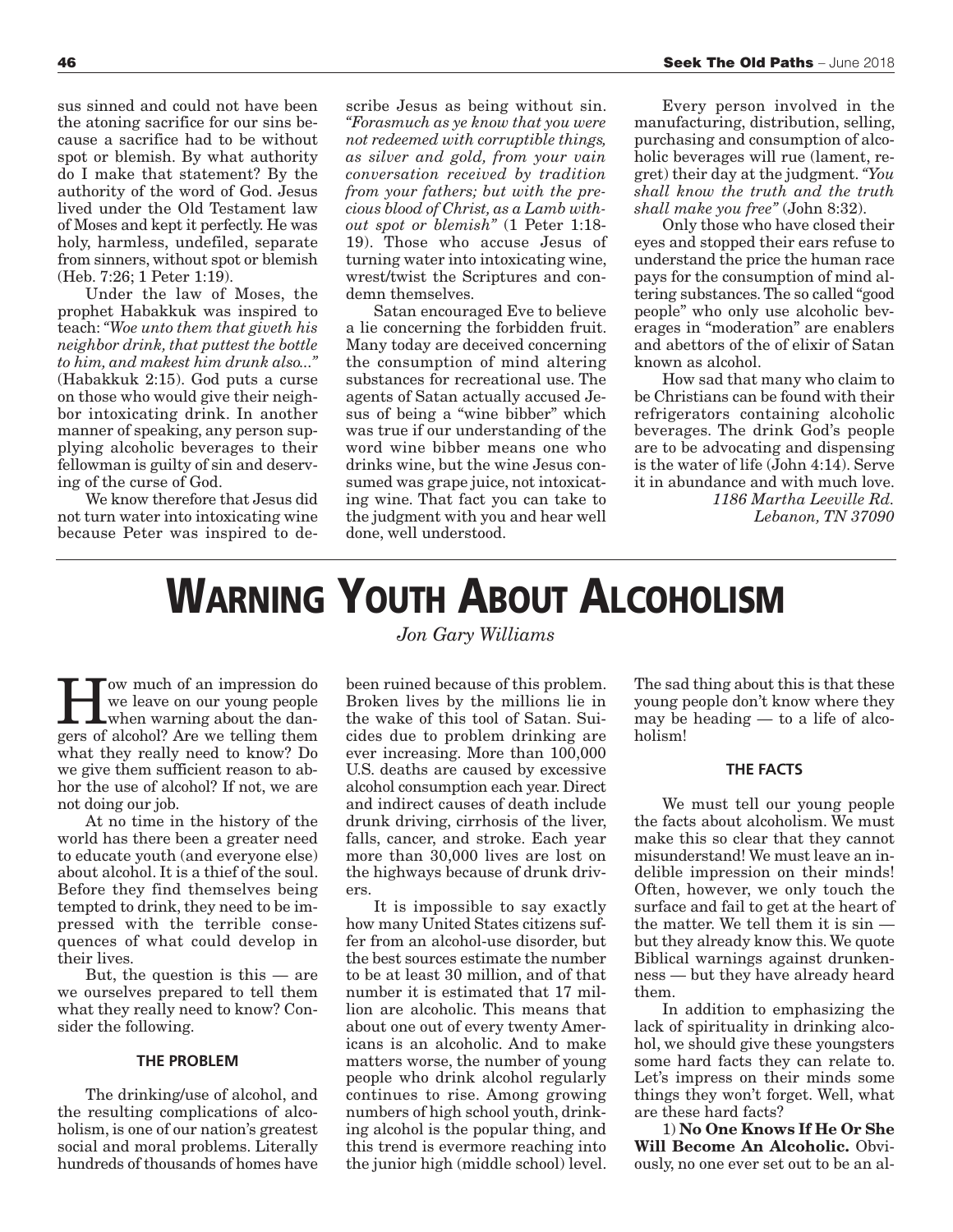sus sinned and could not have been the atoning sacrifice for our sins because a sacrifice had to be without spot or blemish. By what authority do I make that statement? By the authority of the word of God. Jesus lived under the Old Testament law of Moses and kept it perfectly. He was holy, harmless, undefiled, separate from sinners, without spot or blemish (Heb. 7:26; 1 Peter 1:19).

Under the law of Moses, the prophet Habakkuk was inspired to teach: *"Woe unto them that giveth his neighbor drink, that puttest the bottle to him, and makest him drunk also..."* (Habakkuk 2:15). God puts a curse on those who would give their neighbor intoxicating drink. In another manner of speaking, any person supplying alcoholic beverages to their fellowman is guilty of sin and deserving of the curse of God.

We know therefore that Jesus did not turn water into intoxicating wine because Peter was inspired to de-

scribe Jesus as being without sin. *"Forasmuch as ye know that you were not redeemed with corruptible things, as silver and gold, from your vain conversation received by tradition from your fathers; but with the precious blood of Christ, as a Lamb without spot or blemish"* (1 Peter 1:18- 19). Those who accuse Jesus of turning water into intoxicating wine, wrest/twist the Scriptures and condemn themselves.

Satan encouraged Eve to believe a lie concerning the forbidden fruit. Many today are deceived concerning the consumption of mind altering substances for recreational use. The agents of Satan actually accused Jesus of being a "wine bibber" which was true if our understanding of the word wine bibber means one who drinks wine, but the wine Jesus consumed was grape juice, not intoxicating wine. That fact you can take to the judgment with you and hear well done, well understood.

Every person involved in the manufacturing, distribution, selling, purchasing and consumption of alcoholic beverages will rue (lament, regret) their day at the judgment. *"You shall know the truth and the truth shall make you free"* (John 8:32).

Only those who have closed their eyes and stopped their ears refuse to understand the price the human race pays for the consumption of mind altering substances. The so called "good people" who only use alcoholic beverages in "moderation" are enablers and abettors of the of elixir of Satan known as alcohol.

How sad that many who claim to be Christians can be found with their refrigerators containing alcoholic beverages. The drink God's people are to be advocating and dispensing is the water of life (John 4:14). Serve it in abundance and with much love. *1186 Martha Leeville Rd. Lebanon, TN 37090*

## **WARNING YOUTH ABOUT ALCOHOLISM**

Tow much of an impression do we leave on our young people **L**when warning about the dangers of alcohol? Are we telling them what they really need to know? Do we give them sufficient reason to abhor the use of alcohol? If not, we are not doing our job.

At no time in the history of the world has there been a greater need to educate youth (and everyone else) about alcohol. It is a thief of the soul. Before they find themselves being tempted to drink, they need to be impressed with the terrible consequences of what could develop in their lives.

But, the question is this — are we ourselves prepared to tell them what they really need to know? Consider the following.

### **THE PROBLEM**

The drinking/use of alcohol, and the resulting complications of alcoholism, is one of our nation's greatest social and moral problems. Literally hundreds of thousands of homes have *Jon Gary Williams*

been ruined because of this problem. Broken lives by the millions lie in the wake of this tool of Satan. Suicides due to problem drinking are ever increasing. More than 100,000 U.S. deaths are caused by excessive alcohol consumption each year. Direct and indirect causes of death include drunk driving, cirrhosis of the liver, falls, cancer, and stroke. Each year more than 30,000 lives are lost on the highways because of drunk drivers.

It is impossible to say exactly how many United States citizens suffer from an alcohol-use disorder, but the best sources estimate the number to be at least 30 million, and of that number it is estimated that 17 million are alcoholic. This means that about one out of every twenty Americans is an alcoholic. And to make matters worse, the number of young people who drink alcohol regularly continues to rise. Among growing numbers of high school youth, drinking alcohol is the popular thing, and this trend is evermore reaching into the junior high (middle school) level.

The sad thing about this is that these young people don't know where they may be heading — to a life of alcoholism!

### **THE FACTS**

We must tell our young people the facts about alcoholism. We must make this so clear that they cannot misunderstand! We must leave an indelible impression on their minds! Often, however, we only touch the surface and fail to get at the heart of the matter. We tell them it is sin but they already know this. We quote Biblical warnings against drunkenness — but they have already heard them.

In addition to emphasizing the lack of spirituality in drinking alcohol, we should give these youngsters some hard facts they can relate to. Let's impress on their minds some things they won't forget. Well, what are these hard facts?

1) **No One Knows If He Or She Will Become An Alcoholic.** Obviously, no one ever set out to be an al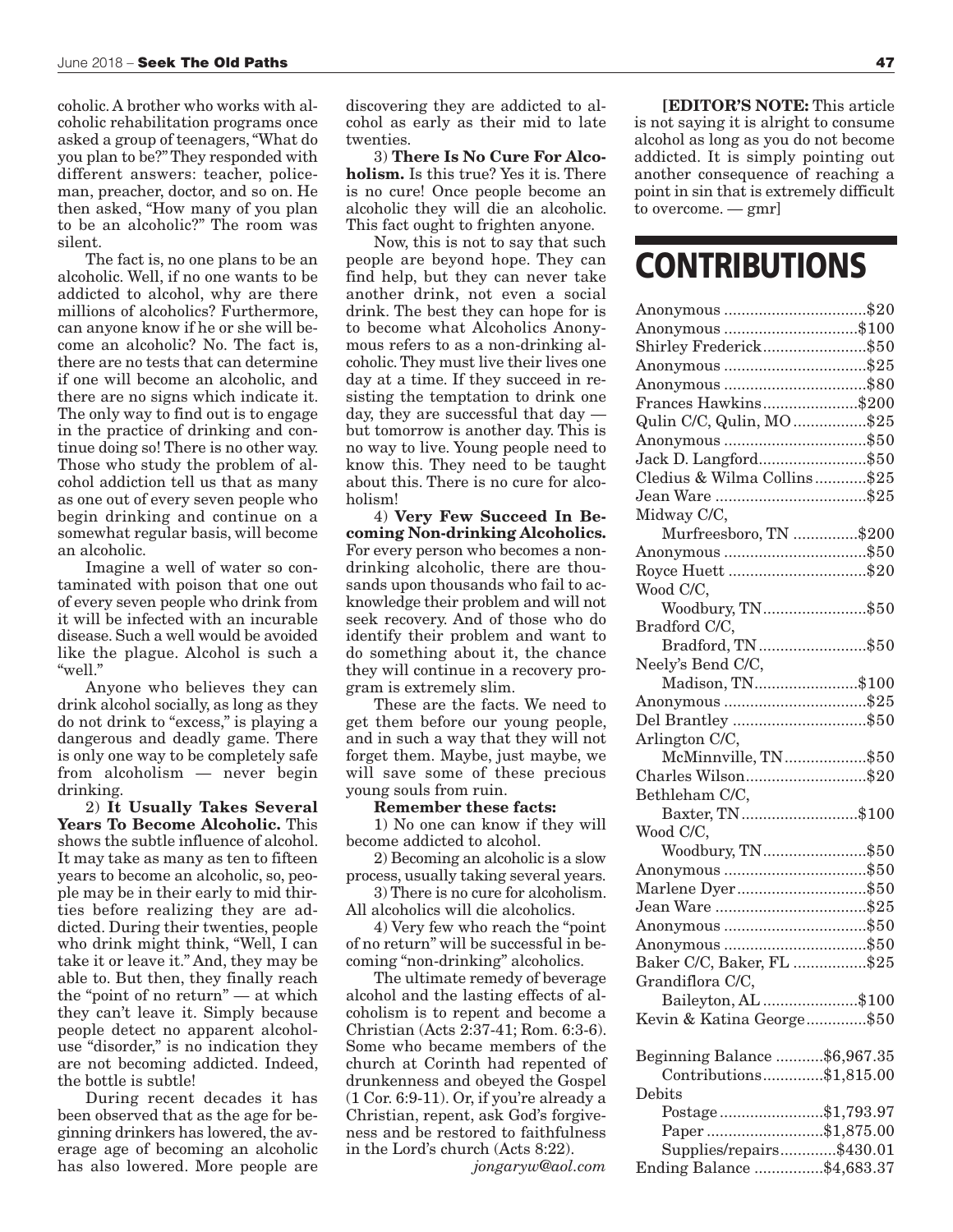coholic. A brother who works with alcoholic rehabilitation programs once asked a group of teenagers, "What do you plan to be?" They responded with different answers: teacher, policeman, preacher, doctor, and so on. He then asked, "How many of you plan to be an alcoholic?" The room was silent.

The fact is, no one plans to be an alcoholic. Well, if no one wants to be addicted to alcohol, why are there millions of alcoholics? Furthermore, can anyone know if he or she will become an alcoholic? No. The fact is, there are no tests that can determine if one will become an alcoholic, and there are no signs which indicate it. The only way to find out is to engage in the practice of drinking and continue doing so! There is no other way. Those who study the problem of alcohol addiction tell us that as many as one out of every seven people who begin drinking and continue on a somewhat regular basis, will become an alcoholic.

Imagine a well of water so contaminated with poison that one out of every seven people who drink from it will be infected with an incurable disease. Such a well would be avoided like the plague. Alcohol is such a "well."

Anyone who believes they can drink alcohol socially, as long as they do not drink to "excess," is playing a dangerous and deadly game. There is only one way to be completely safe from alcoholism — never begin drinking.

2) **It Usually Takes Several Years To Become Alcoholic.** This shows the subtle influence of alcohol. It may take as many as ten to fifteen years to become an alcoholic, so, people may be in their early to mid thirties before realizing they are addicted. During their twenties, people who drink might think, "Well, I can take it or leave it." And, they may be able to. But then, they finally reach the "point of no return" — at which they can't leave it. Simply because people detect no apparent alcoholuse "disorder," is no indication they are not becoming addicted. Indeed, the bottle is subtle!

During recent decades it has been observed that as the age for beginning drinkers has lowered, the average age of becoming an alcoholic has also lowered. More people are discovering they are addicted to alcohol as early as their mid to late twenties.

3) **There Is No Cure For Alcoholism.** Is this true? Yes it is. There is no cure! Once people become an alcoholic they will die an alcoholic. This fact ought to frighten anyone.

Now, this is not to say that such people are beyond hope. They can find help, but they can never take another drink, not even a social drink. The best they can hope for is to become what Alcoholics Anonymous refers to as a non-drinking alcoholic. They must live their lives one day at a time. If they succeed in resisting the temptation to drink one day, they are successful that day but tomorrow is another day. This is no way to live. Young people need to know this. They need to be taught about this. There is no cure for alcoholism!

4) **Very Few Succeed In Becoming Non-drinking Alcoholics.** For every person who becomes a nondrinking alcoholic, there are thousands upon thousands who fail to acknowledge their problem and will not seek recovery. And of those who do identify their problem and want to do something about it, the chance they will continue in a recovery program is extremely slim.

These are the facts. We need to get them before our young people, and in such a way that they will not forget them. Maybe, just maybe, we will save some of these precious young souls from ruin.

#### **Remember these facts:**

1) No one can know if they will become addicted to alcohol.

2) Becoming an alcoholic is a slow process, usually taking several years. 3) There is no cure for alcoholism.

All alcoholics will die alcoholics.

4) Very few who reach the "point of no return" will be successful in becoming "non-drinking" alcoholics.

The ultimate remedy of beverage alcohol and the lasting effects of alcoholism is to repent and become a Christian (Acts 2:37-41; Rom. 6:3-6). Some who became members of the church at Corinth had repented of drunkenness and obeyed the Gospel (1 Cor. 6:9-11). Or, if you're already a Christian, repent, ask God's forgiveness and be restored to faithfulness in the Lord's church (Acts 8:22).

*jongaryw@aol.com*

**[EDITOR'S NOTE:** This article is not saying it is alright to consume alcohol as long as you do not become addicted. It is simply pointing out another consequence of reaching a point in sin that is extremely difficult to overcome. — gmr]

### **CONTRIBUTIONS**

| Anonymous \$100                                                                                                                                                                                                                                                                                                                                                                                                                                                                                                                                    |  |
|----------------------------------------------------------------------------------------------------------------------------------------------------------------------------------------------------------------------------------------------------------------------------------------------------------------------------------------------------------------------------------------------------------------------------------------------------------------------------------------------------------------------------------------------------|--|
| Shirley Frederick\$50                                                                                                                                                                                                                                                                                                                                                                                                                                                                                                                              |  |
|                                                                                                                                                                                                                                                                                                                                                                                                                                                                                                                                                    |  |
|                                                                                                                                                                                                                                                                                                                                                                                                                                                                                                                                                    |  |
| Frances Hawkins\$200                                                                                                                                                                                                                                                                                                                                                                                                                                                                                                                               |  |
| Qulin C/C, Qulin, MO\$25                                                                                                                                                                                                                                                                                                                                                                                                                                                                                                                           |  |
| Anonymous \$50                                                                                                                                                                                                                                                                                                                                                                                                                                                                                                                                     |  |
| Jack D. Langford\$50                                                                                                                                                                                                                                                                                                                                                                                                                                                                                                                               |  |
| Cledius & Wilma Collins\$25                                                                                                                                                                                                                                                                                                                                                                                                                                                                                                                        |  |
|                                                                                                                                                                                                                                                                                                                                                                                                                                                                                                                                                    |  |
| Midway C/C,                                                                                                                                                                                                                                                                                                                                                                                                                                                                                                                                        |  |
| Murfreesboro, TN \$200                                                                                                                                                                                                                                                                                                                                                                                                                                                                                                                             |  |
| Anonymous \$50                                                                                                                                                                                                                                                                                                                                                                                                                                                                                                                                     |  |
| Royce Huett \$20                                                                                                                                                                                                                                                                                                                                                                                                                                                                                                                                   |  |
| Wood C/C,                                                                                                                                                                                                                                                                                                                                                                                                                                                                                                                                          |  |
| Woodbury, TN\$50                                                                                                                                                                                                                                                                                                                                                                                                                                                                                                                                   |  |
| Bradford C/C,                                                                                                                                                                                                                                                                                                                                                                                                                                                                                                                                      |  |
| Bradford, TN \$50                                                                                                                                                                                                                                                                                                                                                                                                                                                                                                                                  |  |
| Neely's Bend C/C,                                                                                                                                                                                                                                                                                                                                                                                                                                                                                                                                  |  |
| Madison, TN\$100                                                                                                                                                                                                                                                                                                                                                                                                                                                                                                                                   |  |
| Anonymous \$25                                                                                                                                                                                                                                                                                                                                                                                                                                                                                                                                     |  |
| Del Brantley \$50                                                                                                                                                                                                                                                                                                                                                                                                                                                                                                                                  |  |
| Arlington C/C,                                                                                                                                                                                                                                                                                                                                                                                                                                                                                                                                     |  |
| McMinnville, TN\$50                                                                                                                                                                                                                                                                                                                                                                                                                                                                                                                                |  |
| Charles Wilson\$20                                                                                                                                                                                                                                                                                                                                                                                                                                                                                                                                 |  |
| Bethleham C/C,                                                                                                                                                                                                                                                                                                                                                                                                                                                                                                                                     |  |
| Baxter, TN\$100                                                                                                                                                                                                                                                                                                                                                                                                                                                                                                                                    |  |
| Wood C/C,                                                                                                                                                                                                                                                                                                                                                                                                                                                                                                                                          |  |
| Woodbury, TN\$50                                                                                                                                                                                                                                                                                                                                                                                                                                                                                                                                   |  |
| Anonymous \$50                                                                                                                                                                                                                                                                                                                                                                                                                                                                                                                                     |  |
| Marlene Dyer\$50                                                                                                                                                                                                                                                                                                                                                                                                                                                                                                                                   |  |
|                                                                                                                                                                                                                                                                                                                                                                                                                                                                                                                                                    |  |
|                                                                                                                                                                                                                                                                                                                                                                                                                                                                                                                                                    |  |
| Anonymous \$50                                                                                                                                                                                                                                                                                                                                                                                                                                                                                                                                     |  |
| Anonymous \$50                                                                                                                                                                                                                                                                                                                                                                                                                                                                                                                                     |  |
| Baker C/C, Baker, FL \$25                                                                                                                                                                                                                                                                                                                                                                                                                                                                                                                          |  |
| Grandiflora C/C,                                                                                                                                                                                                                                                                                                                                                                                                                                                                                                                                   |  |
| Baileyton, AL \$100                                                                                                                                                                                                                                                                                                                                                                                                                                                                                                                                |  |
| Kevin & Katina George\$50                                                                                                                                                                                                                                                                                                                                                                                                                                                                                                                          |  |
|                                                                                                                                                                                                                                                                                                                                                                                                                                                                                                                                                    |  |
| Beginning Balance \$6,967.35<br>Contributions\$1,815.00                                                                                                                                                                                                                                                                                                                                                                                                                                                                                            |  |
| Debits                                                                                                                                                                                                                                                                                                                                                                                                                                                                                                                                             |  |
|                                                                                                                                                                                                                                                                                                                                                                                                                                                                                                                                                    |  |
| $\textbf{Postage}\, \textcolor{red}{\dotsc} \textcolor{red}{\dotsc} \textcolor{red}{\dotsc} \textcolor{red}{\dotsc} \textcolor{red}{\dotsc} \textcolor{red}{\dotsc} \textcolor{red}{\dotsc} \textcolor{red}{\dotsc} \textcolor{red}{\dotsc} \textcolor{red}{\dotsc} \textcolor{red}{\dotsc} \textcolor{red}{\dotsc} \textcolor{red}{\dotsc} \textcolor{red}{\dotsc} \textcolor{red}{\dotsc} \textcolor{red}{\dotsc} \textcolor{red}{\dotsc} \textcolor{red}{\dotsc} \textcolor{red}{\dotsc} \textcolor{red}{\dotsc} \textcolor{red}{\dotsc} \text$ |  |
| Paper \$1,875.00                                                                                                                                                                                                                                                                                                                                                                                                                                                                                                                                   |  |
| Supplies/repairs\$430.01                                                                                                                                                                                                                                                                                                                                                                                                                                                                                                                           |  |
| Ending Balance \$4,683.37                                                                                                                                                                                                                                                                                                                                                                                                                                                                                                                          |  |